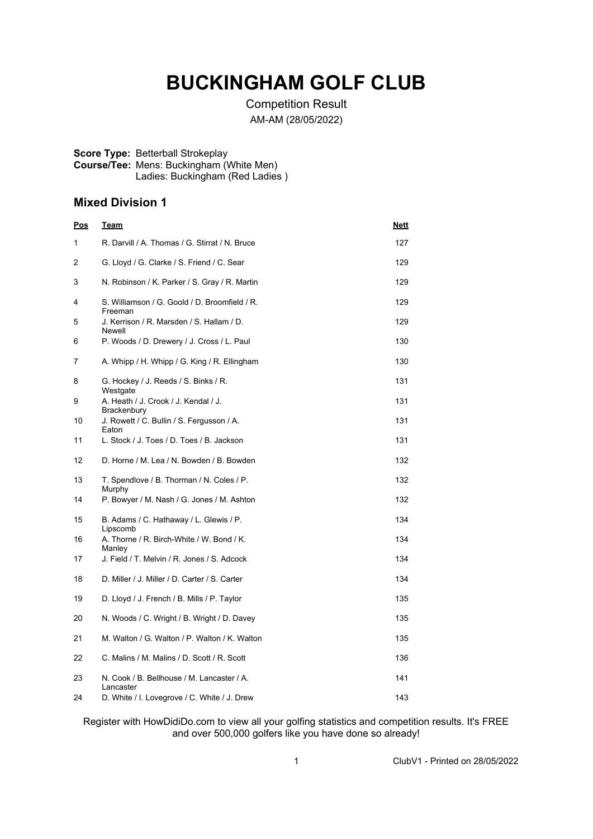# **BUCKINGHAM GOLF CLUB**

Competition Result AM-AM (28/05/2022)

#### **Score Type:** Betterball Strokeplay **Course/Tee:** Mens: Buckingham (White Men) Ladies: Buckingham (Red Ladies )

### **Mixed Division 1**

| <u>Pos</u> | <u>Team</u>                                                | <u>Nett</u> |
|------------|------------------------------------------------------------|-------------|
| 1          | R. Darvill / A. Thomas / G. Stirrat / N. Bruce             | 127         |
| 2          | G. Lloyd / G. Clarke / S. Friend / C. Sear                 | 129         |
| 3          | N. Robinson / K. Parker / S. Gray / R. Martin              | 129         |
| 4          | S. Williamson / G. Goold / D. Broomfield / R.<br>Freeman   | 129         |
| 5          | J. Kerrison / R. Marsden / S. Hallam / D.<br><b>Newell</b> | 129         |
| 6          | P. Woods / D. Drewery / J. Cross / L. Paul                 | 130         |
| 7          | A. Whipp / H. Whipp / G. King / R. Ellingham               | 130         |
| 8          | G. Hockey / J. Reeds / S. Binks / R.<br>Westgate           | 131         |
| 9          | A. Heath / J. Crook / J. Kendal / J.<br>Brackenbury        | 131         |
| 10         | J. Rowett / C. Bullin / S. Fergusson / A.<br>Eaton         | 131         |
| 11         | L. Stock / J. Toes / D. Toes / B. Jackson                  | 131         |
| 12         | D. Horne / M. Lea / N. Bowden / B. Bowden                  | 132         |
| 13         | T. Spendlove / B. Thorman / N. Coles / P.<br>Murphy        | 132         |
| 14         | P. Bowyer / M. Nash / G. Jones / M. Ashton                 | 132         |
| 15         | B. Adams / C. Hathaway / L. Glewis / P.<br>Lipscomb        | 134         |
| 16         | A. Thorne / R. Birch-White / W. Bond / K.<br>Manley        | 134         |
| 17         | J. Field / T. Melvin / R. Jones / S. Adcock                | 134         |
| 18         | D. Miller / J. Miller / D. Carter / S. Carter              | 134         |
| 19         | D. Lloyd / J. French / B. Mills / P. Taylor                | 135         |
| 20         | N. Woods / C. Wright / B. Wright / D. Davey                | 135         |
| 21         | M. Walton / G. Walton / P. Walton / K. Walton              | 135         |
| 22         | C. Malins / M. Malins / D. Scott / R. Scott                | 136         |
| 23         | N. Cook / B. Bellhouse / M. Lancaster / A.                 | 141         |
| 24         | Lancaster<br>D. White / I. Lovegrove / C. White / J. Drew  | 143         |

Register with HowDidiDo.com to view all your golfing statistics and competition results. It's FREE and over 500,000 golfers like you have done so already!